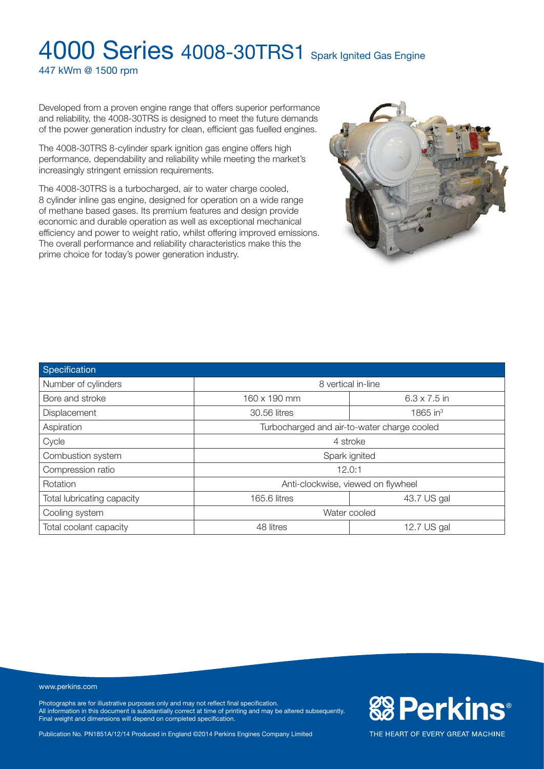447 kWm @ 1500 rpm

Developed from a proven engine range that offers superior performance and reliability, the 4008-30TRS is designed to meet the future demands of the power generation industry for clean, efficient gas fuelled engines.

The 4008-30TRS 8-cylinder spark ignition gas engine offers high performance, dependability and reliability while meeting the market's increasingly stringent emission requirements.

The 4008-30TRS is a turbocharged, air to water charge cooled, 8 cylinder inline gas engine, designed for operation on a wide range of methane based gases. Its premium features and design provide economic and durable operation as well as exceptional mechanical efficiency and power to weight ratio, whilst offering improved emissions. The overall performance and reliability characteristics make this the prime choice for today's power generation industry.



| Specification              |                                             |                     |  |
|----------------------------|---------------------------------------------|---------------------|--|
| Number of cylinders        | 8 vertical in-line                          |                     |  |
| Bore and stroke            | 160 x 190 mm                                | $6.3 \times 7.5$ in |  |
| <b>Displacement</b>        | 30.56 litres                                | 1865 in $3$         |  |
| Aspiration                 | Turbocharged and air-to-water charge cooled |                     |  |
| Cycle                      | 4 stroke                                    |                     |  |
| Combustion system          | Spark ignited                               |                     |  |
| Compression ratio          | 12.0:1                                      |                     |  |
| Rotation                   | Anti-clockwise, viewed on flywheel          |                     |  |
| Total lubricating capacity | 165.6 litres                                | 43.7 US gal         |  |
| Cooling system             | Water cooled                                |                     |  |
| Total coolant capacity     | 48 litres                                   | 12.7 US gal         |  |

#### www.perkins.com

Photographs are for illustrative purposes only and may not reflect final specification. All information in this document is substantially correct at time of printing and may be altered subsequently. Final weight and dimensions will depend on completed specification.

Publication No. PN1851A/12/14 Produced in England ©2014 Perkins Engines Company Limited

**&BPerkins®** 

THE HEART OF EVERY GREAT MACHINE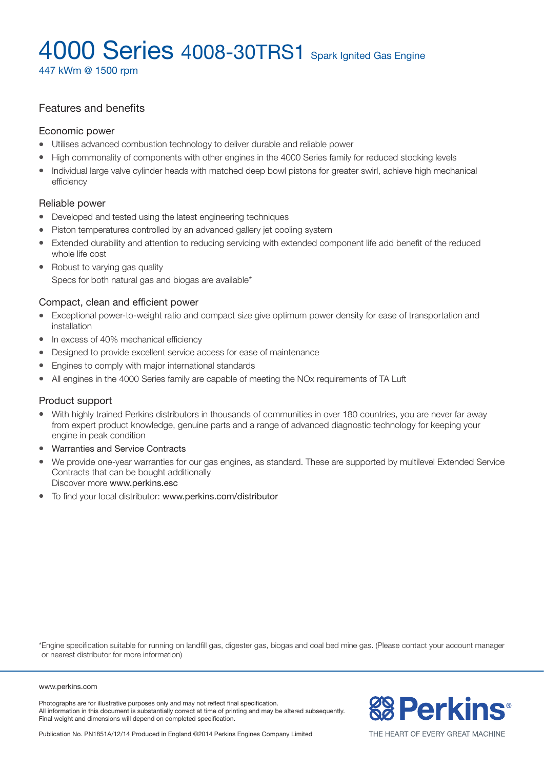447 kWm @ 1500 rpm

### Features and benefits

#### Economic power

- Utilises advanced combustion technology to deliver durable and reliable power
- High commonality of components with other engines in the 4000 Series family for reduced stocking levels
- Individual large valve cylinder heads with matched deep bowl pistons for greater swirl, achieve high mechanical efficiency

### Reliable power

- Developed and tested using the latest engineering techniques
- Piston temperatures controlled by an advanced gallery jet cooling system
- Extended durability and attention to reducing servicing with extended component life add benefit of the reduced whole life cost
- Robust to varying gas quality Specs for both natural gas and biogas are available\*

### Compact, clean and efficient power

- Exceptional power-to-weight ratio and compact size give optimum power density for ease of transportation and installation
- $\bullet$  In excess of 40% mechanical efficiency
- Designed to provide excellent service access for ease of maintenance
- Engines to comply with major international standards
- All engines in the 4000 Series family are capable of meeting the NO<sub>x</sub> requirements of TA Luft

### Product support

- With highly trained Perkins distributors in thousands of communities in over 180 countries, you are never far away from expert product knowledge, genuine parts and a range of advanced diagnostic technology for keeping your engine in peak condition
- Warranties and Service Contracts
- We provide one-year warranties for our gas engines, as standard. These are supported by multilevel Extended Service Contracts that can be bought additionally Discover more www.perkins.esc
- To find your local distributor: www.perkins.com/distributor

\*Engine specification suitable for running on landfill gas, digester gas, biogas and coal bed mine gas. (Please contact your account manager or nearest distributor for more information)

#### www.perkins.com

Photographs are for illustrative purposes only and may not reflect final specification. All information in this document is substantially correct at time of printing and may be altered subsequently. Final weight and dimensions will depend on completed specification.



THE HEART OF EVERY GREAT MACHINE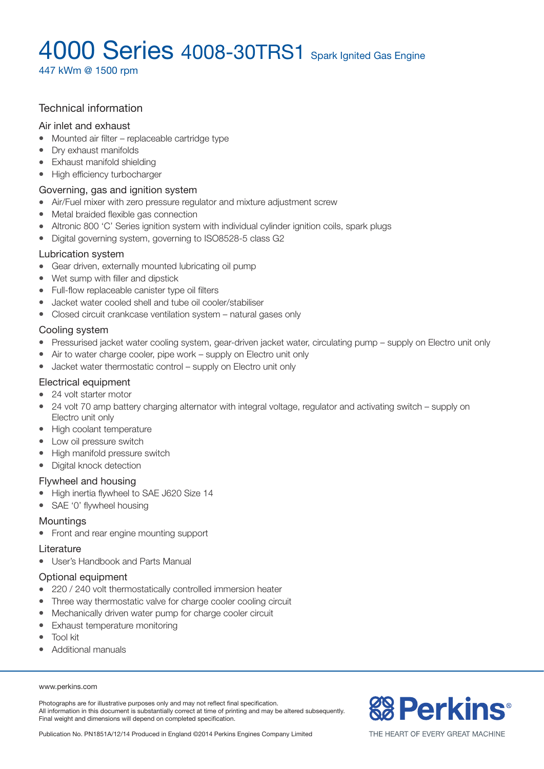447 kWm @ 1500 rpm

### Technical information

#### Air inlet and exhaust

- $\bullet$  Mounted air filter replaceable cartridge type
- Dry exhaust manifolds
- Exhaust manifold shielding
- High efficiency turbocharger

### Governing, gas and ignition system

- Air/Fuel mixer with zero pressure regulator and mixture adjustment screw
- Metal braided flexible gas connection
- Altronic 800 'C' Series ignition system with individual cylinder ignition coils, spark plugs
- Digital governing system, governing to ISO8528-5 class G2

#### Lubrication system

- Gear driven, externally mounted lubricating oil pump
- $\bullet$  Wet sump with filler and dipstick
- Full-flow replaceable canister type oil filters
- l Jacket water cooled shell and tube oil cooler/stabiliser
- Closed circuit crankcase ventilation system natural gases only

### Cooling system

- Pressurised jacket water cooling system, gear-driven jacket water, circulating pump supply on Electro unit only
- $\bullet$  Air to water charge cooler, pipe work supply on Electro unit only
- $\bullet$  Jacket water thermostatic control supply on Electro unit only

#### Electrical equipment

- 24 volt starter motor
- 24 volt 70 amp battery charging alternator with integral voltage, regulator and activating switch supply on Electro unit only
- High coolant temperature
- Low oil pressure switch
- High manifold pressure switch
- Digital knock detection

#### Flywheel and housing

- High inertia flywheel to SAE J620 Size 14
- SAE '0' flywheel housing

### **Mountings**

• Front and rear engine mounting support

#### Literature

• User's Handbook and Parts Manual

### Optional equipment

- 220 / 240 volt thermostatically controlled immersion heater
- Three way thermostatic valve for charge cooler cooling circuit
- Mechanically driven water pump for charge cooler circuit
- Exhaust temperature monitoring
- $\bullet$  Tool kit
- Additional manuals

#### www.perkins.com

Photographs are for illustrative purposes only and may not reflect final specification. All information in this document is substantially correct at time of printing and may be altered subsequently. Final weight and dimensions will depend on completed specification.

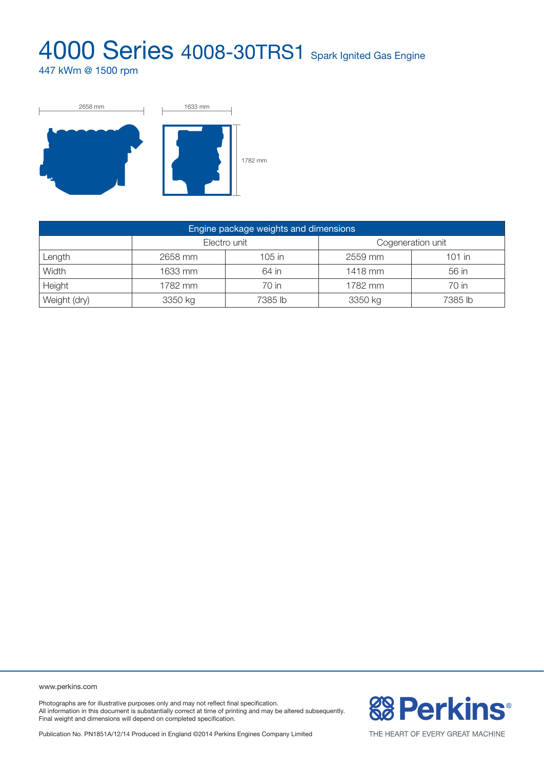447 kWm @ 1500 rpm



| Engine package weights and dimensions |              |         |                   |          |  |  |
|---------------------------------------|--------------|---------|-------------------|----------|--|--|
|                                       | Electro unit |         | Cogeneration unit |          |  |  |
| Length                                | 2658 mm      | 105 in  | 2559 mm           | $101$ in |  |  |
| Width                                 | 1633 mm      | 64 in   | 1418 mm           | 56 in    |  |  |
| Height                                | 1782 mm      | 70 in   | 1782 mm           | 70 in    |  |  |
| Weight (dry)                          | 3350 kg      | 7385 lb | 3350 kg           | 7385 lb  |  |  |

www.perkins.com

Photographs are for illustrative purposes only and may not reflect final specification. All information in this document is substantially correct at time of printing and may be altered subsequently. Final weight and dimensions will depend on completed specification.

**& Perkins®**